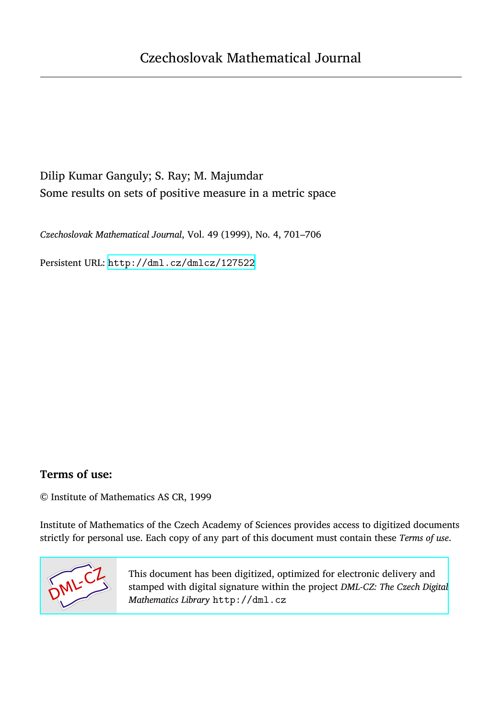# Dilip Kumar Ganguly; S. Ray; M. Majumdar Some results on sets of positive measure in a metric space

*Czechoslovak Mathematical Journal*, Vol. 49 (1999), No. 4, 701–706

Persistent URL: <http://dml.cz/dmlcz/127522>

### **Terms of use:**

© Institute of Mathematics AS CR, 1999

Institute of Mathematics of the Czech Academy of Sciences provides access to digitized documents strictly for personal use. Each copy of any part of this document must contain these *Terms of use*.



[This document has been digitized, optimized for electronic delivery and](http://dml.cz) stamped with digital signature within the project *DML-CZ: The Czech Digital Mathematics Library* http://dml.cz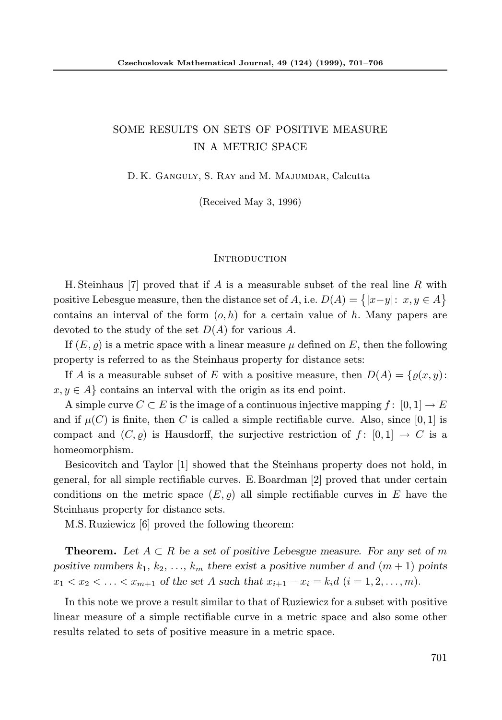## SOME RESULTS ON SETS OF POSITIVE MEASURE IN A METRIC SPACE

D. K. Ganguly, S. Ray and M. Majumdar, Calcutta

(Received May 3, 1996)

#### **INTRODUCTION**

H. Steinhaus [7] proved that if A is a measurable subset of the real line R with positive Lebesgue measure, then the distance set of  $A$ , i.e.  $D(A) = \{ |x-y| : x, y \in A \}$ contains an interval of the form  $(o, h)$  for a certain value of h. Many papers are devoted to the study of the set  $D(A)$  for various A.

If  $(E, \rho)$  is a metric space with a linear measure  $\mu$  defined on E, then the following property is referred to as the Steinhaus property for distance sets:

If A is a measurable subset of E with a positive measure, then  $D(A) = \{o(x, y):$  $x, y \in A$  contains an interval with the origin as its end point.

A simple curve  $C \subset E$  is the image of a continuous injective mapping  $f : [0, 1] \to E$ and if  $\mu(C)$  is finite, then C is called a simple rectifiable curve. Also, since [0, 1] is compact and  $(C, \rho)$  is Hausdorff, the surjective restriction of  $f : [0, 1] \rightarrow C$  is a homeomorphism.

Besicovitch and Taylor [1] showed that the Steinhaus property does not hold, in general, for all simple rectifiable curves. E. Boardman [2] proved that under certain conditions on the metric space  $(E,\rho)$  all simple rectifiable curves in E have the Steinhaus property for distance sets.

M.S. Ruziewicz [6] proved the following theorem:

**Theorem.** Let  $A \subset R$  be a set of positive Lebesgue measure. For any set of m positive numbers  $k_1, k_2, \ldots, k_m$  there exist a positive number d and  $(m + 1)$  points  $x_1 < x_2 < \ldots < x_{m+1}$  of the set A such that  $x_{i+1} - x_i = k_i d \ (i = 1, 2, \ldots, m)$ .

In this note we prove a result similar to that of Ruziewicz for a subset with positive linear measure of a simple rectifiable curve in a metric space and also some other results related to sets of positive measure in a metric space.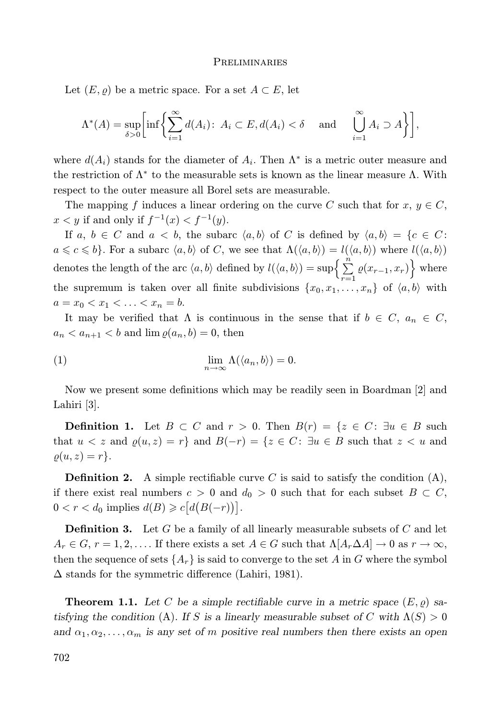#### **PRELIMINARIES**

Let  $(E,\rho)$  be a metric space. For a set  $A\subset E$ , let

$$
\Lambda^*(A) = \sup_{\delta > 0} \left[ \inf \left\{ \sum_{i=1}^{\infty} d(A_i) \colon A_i \subset E, d(A_i) < \delta \quad \text{and} \quad \bigcup_{i=1}^{\infty} A_i \supset A \right\} \right],
$$

where  $d(A_i)$  stands for the diameter of  $A_i$ . Then  $\Lambda^*$  is a metric outer measure and the restriction of  $\Lambda^*$  to the measurable sets is known as the linear measure  $\Lambda$ . With respect to the outer measure all Borel sets are measurable.

The mapping f induces a linear ordering on the curve C such that for  $x, y \in C$ ,  $x < y$  if and only if  $f^{-1}(x) < f^{-1}(y)$ .

If a,  $b \in C$  and  $a < b$ , the subarc  $\langle a, b \rangle$  of C is defined by  $\langle a, b \rangle = \{c \in C$ :  $a \leq c \leq b$ . For a subarc  $\langle a, b \rangle$  of C, we see that  $\Lambda(\langle a, b \rangle) = l(\langle a, b \rangle)$  where  $l(\langle a, b \rangle)$ denotes the length of the arc  $\langle a, b \rangle$  defined by  $l(\langle a, b \rangle) = \sup \left\{ \sum_{i=1}^{n} a_i, b_i \in A \right\}$  $\sum_{r=1}^{n} \varrho(x_{r-1}, x_r)$  where the supremum is taken over all finite subdivisions  $\{x_0, x_1, \ldots, x_n\}$  of  $\langle a, b \rangle$  with  $a = x_0 < x_1 < \ldots < x_n = b$ .

It may be verified that  $\Lambda$  is continuous in the sense that if  $b \in C$ ,  $a_n \in C$ ,  $a_n < a_{n+1} < b$  and  $\lim \rho(a_n, b) = 0$ , then

(1) 
$$
\lim_{n \to \infty} \Lambda(\langle a_n, b \rangle) = 0.
$$

Now we present some definitions which may be readily seen in Boardman [2] and Lahiri [3].

**Definition 1.** Let  $B \subset C$  and  $r > 0$ . Then  $B(r) = \{z \in C : \exists u \in B \text{ such }$ that  $u < z$  and  $\rho(u, z) = r$  and  $B(-r) = \{z \in C : \exists u \in B \text{ such that } z < u \text{ and } z \leq u\}$  $\rho(u,z) = r$ .

**Definition 2.** A simple rectifiable curve C is said to satisfy the condition  $(A)$ , if there exist real numbers  $c > 0$  and  $d_0 > 0$  such that for each subset  $B \subset C$ ,  $0 < r < d_0$  implies  $d(B) \geq c \big[ d\big(B(-r)\big)\big].$ 

**Definition 3.** Let  $G$  be a family of all linearly measurable subsets of  $C$  and let  $A_r \in G$ ,  $r = 1, 2, \ldots$  If there exists a set  $A \in G$  such that  $\Lambda[A_r \Delta A] \to 0$  as  $r \to \infty$ , then the sequence of sets  $\{A_r\}$  is said to converge to the set A in G where the symbol  $\Delta$  stands for the symmetric difference (Lahiri, 1981).

**Theorem 1.1.** Let C be a simple rectifiable curve in a metric space  $(E, \varrho)$  satisfying the condition (A). If S is a linearly measurable subset of C with  $\Lambda(S) > 0$ and  $\alpha_1, \alpha_2, \ldots, \alpha_m$  is any set of m positive real numbers then there exists an open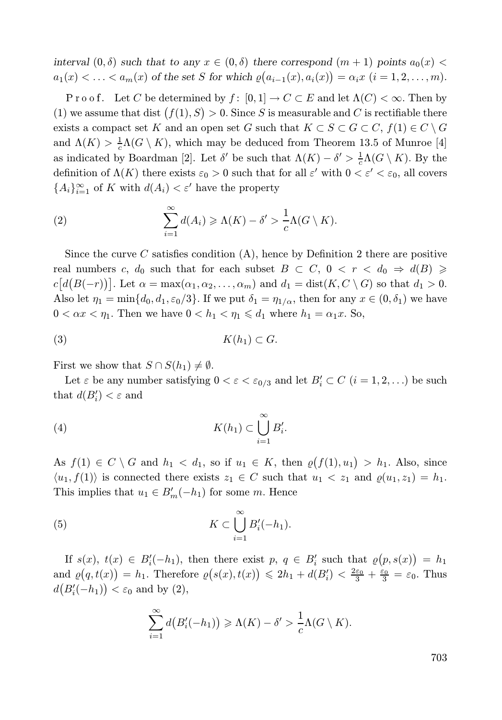interval  $(0, \delta)$  such that to any  $x \in (0, \delta)$  there correspond  $(m + 1)$  points  $a_0(x)$  $a_1(x) < \ldots < a_m(x)$  of the set S for which  $\varrho(a_{i-1}(x), a_i(x)) = \alpha_i x$   $(i = 1, 2, \ldots, m)$ .

P r o o f. Let C be determined by  $f: [0,1] \to C \subset E$  and let  $\Lambda(C) < \infty$ . Then by (1) we assume that dist  $(f(1), S) > 0$ . Since S is measurable and C is rectifiable there exists a compact set K and an open set G such that  $K \subset S \subset G \subset C$ ,  $f(1) \in C \setminus G$ and  $\Lambda(K) > \frac{1}{c}\Lambda(G \setminus K)$ , which may be deduced from Theorem 13.5 of Munroe [4] as indicated by Boardman [2]. Let  $\delta'$  be such that  $\Lambda(K) - \delta' > \frac{1}{c}\Lambda(G \setminus K)$ . By the definition of  $\Lambda(K)$  there exists  $\varepsilon_0 > 0$  such that for all  $\varepsilon'$  with  $0 < \varepsilon' < \varepsilon_0$ , all covers  ${A_i}_{i=1}^{\infty}$  of K with  $d(A_i) < \varepsilon'$  have the property

(2) 
$$
\sum_{i=1}^{\infty} d(A_i) \geq \Lambda(K) - \delta' > \frac{1}{c} \Lambda(G \setminus K).
$$

Since the curve  $C$  satisfies condition  $(A)$ , hence by Definition 2 there are positive real numbers c,  $d_0$  such that for each subset  $B \subset C$ ,  $0 < r < d_0 \Rightarrow d(B) \ge$  $c[d(B(-r))]$ . Let  $\alpha = \max(\alpha_1, \alpha_2, \dots, \alpha_m)$  and  $d_1 = \text{dist}(K, C \setminus G)$  so that  $d_1 > 0$ . Also let  $\eta_1 = \min\{d_0, d_1, \varepsilon_0/3\}$ . If we put  $\delta_1 = \eta_{1/\alpha}$ , then for any  $x \in (0, \delta_1)$  we have  $0 < \alpha x < \eta_1$ . Then we have  $0 < h_1 < \eta_1 \leq d_1$  where  $h_1 = \alpha_1 x$ . So,

$$
(3) \t K(h_1) \subset G.
$$

First we show that  $S \cap S(h_1) \neq \emptyset$ .

Let  $\varepsilon$  be any number satisfying  $0 < \varepsilon < \varepsilon_{0/3}$  and let  $B_i' \subset C$   $(i = 1, 2, ...)$  be such that  $d(B_i') < \varepsilon$  and

(4) 
$$
K(h_1) \subset \bigcup_{i=1}^{\infty} B'_i.
$$

As  $f(1) \in C \setminus G$  and  $h_1 < d_1$ , so if  $u_1 \in K$ , then  $\varrho(f(1), u_1) > h_1$ . Also, since  $\langle u_1, f(1) \rangle$  is connected there exists  $z_1 \in C$  such that  $u_1 < z_1$  and  $\varrho(u_1, z_1) = h_1$ . This implies that  $u_1 \in B'_m(-h_1)$  for some m. Hence

(5) 
$$
K \subset \bigcup_{i=1}^{\infty} B'_i(-h_1).
$$

If  $s(x)$ ,  $t(x) \in B'_{i}(-h_1)$ , then there exist  $p, q \in B'_{i}$  such that  $\varrho(p, s(x)) = h_1$ and  $\varrho(q,t(x)) = h_1$ . Therefore  $\varrho(s(x),t(x)) \leq 2h_1 + d(B_i') < \frac{2\varepsilon_0}{3} + \frac{\varepsilon_0}{3} = \varepsilon_0$ . Thus  $d(B_i'(-h_1)) < \varepsilon_0$  and by (2),

$$
\sum_{i=1}^{\infty} d(B_i'(-h_1)) \ge \Lambda(K) - \delta' > \frac{1}{c}\Lambda(G \setminus K).
$$

703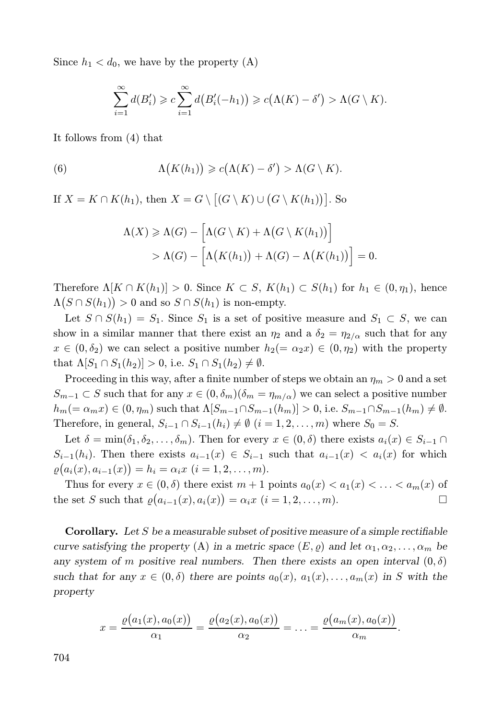Since  $h_1 < d_0$ , we have by the property (A)

$$
\sum_{i=1}^{\infty} d(B'_i) \geqslant c \sum_{i=1}^{\infty} d\big(B'_i(-h_1)\big) \geqslant c\big(\Lambda(K)-\delta'\big) > \Lambda(G\setminus K).
$$

It follows from (4) that

(6) 
$$
\Lambda(K(h_1)) \geqslant c(\Lambda(K)-\delta') > \Lambda(G\setminus K).
$$

If  $X = K \cap K(h_1)$ , then  $X = G \setminus [(G \setminus K) \cup (G \setminus K(h_1))]$ . So

$$
\Lambda(X) \geq \Lambda(G) - \Big[\Lambda(G \setminus K) + \Lambda(G \setminus K(h_1))\Big] \\ > \Lambda(G) - \Big[\Lambda(K(h_1)) + \Lambda(G) - \Lambda(K(h_1))\Big] = 0.
$$

Therefore  $\Lambda[K \cap K(h_1)] > 0$ . Since  $K \subset S$ ,  $K(h_1) \subset S(h_1)$  for  $h_1 \in (0, \eta_1)$ , hence  $\Lambda(S \cap S(h_1)) > 0$  and so  $S \cap S(h_1)$  is non-empty.

Let  $S \cap S(h_1) = S_1$ . Since  $S_1$  is a set of positive measure and  $S_1 \subset S$ , we can show in a similar manner that there exist an  $\eta_2$  and a  $\delta_2 = \eta_{2/\alpha}$  such that for any  $x \in (0, \delta_2)$  we can select a positive number  $h_2(=\alpha_2 x) \in (0, \eta_2)$  with the property that  $\Lambda[S_1 \cap S_1(h_2)] > 0$ , i.e.  $S_1 \cap S_1(h_2) \neq \emptyset$ .

Proceeding in this way, after a finite number of steps we obtain an  $\eta_m > 0$  and a set  $S_{m-1} \subset S$  such that for any  $x \in (0, \delta_m)(\delta_m = \eta_{m/\alpha})$  we can select a positive number  $h_m(=\alpha_mx)\in(0,\eta_m)$  such that  $\Lambda[S_{m-1}\cap S_{m-1}(h_m)]>0$ , i.e.  $S_{m-1}\cap S_{m-1}(h_m)\neq\emptyset$ . Therefore, in general,  $S_{i-1} \cap S_{i-1}(h_i) \neq \emptyset$   $(i = 1, 2, ..., m)$  where  $S_0 = S$ .

Let  $\delta = \min(\delta_1, \delta_2, \ldots, \delta_m)$ . Then for every  $x \in (0, \delta)$  there exists  $a_i(x) \in S_{i-1} \cap$  $S_{i-1}(h_i)$ . Then there exists  $a_{i-1}(x) \in S_{i-1}$  such that  $a_{i-1}(x) < a_i(x)$  for which  $\varrho(a_i(x), a_{i-1}(x)) = h_i = \alpha_i x \ (i = 1, 2, \ldots, m).$ 

Thus for every  $x \in (0, \delta)$  there exist  $m + 1$  points  $a_0(x) < a_1(x) < \ldots < a_m(x)$  of e set S such that  $o(a_{i-1}(x), a_i(x)) = \alpha_i x$   $(i = 1, 2, \ldots, m)$ . the set S such that  $\varrho(a_{i-1}(x), a_i(x)) = \alpha_i x$   $(i = 1, 2, ..., m)$ .

**Corollary.** Let  $S$  be a measurable subset of positive measure of a simple rectifiable curve satisfying the property (A) in a metric space  $(E,\varrho)$  and let  $\alpha_1,\alpha_2,\ldots,\alpha_m$  be any system of m positive real numbers. Then there exists an open interval  $(0, \delta)$ such that for any  $x \in (0, \delta)$  there are points  $a_0(x), a_1(x), \ldots, a_m(x)$  in S with the property

$$
x = \frac{\varrho(a_1(x), a_0(x))}{\alpha_1} = \frac{\varrho(a_2(x), a_0(x))}{\alpha_2} = \ldots = \frac{\varrho(a_m(x), a_0(x))}{\alpha_m}
$$

.

704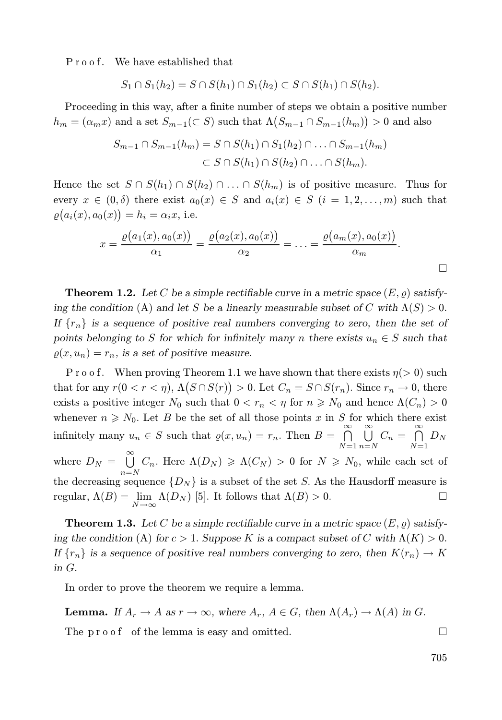Proof. We have established that

$$
S_1 \cap S_1(h_2) = S \cap S(h_1) \cap S_1(h_2) \subset S \cap S(h_1) \cap S(h_2).
$$

Proceeding in this way, after a finite number of steps we obtain a positive number  $h_m = (\alpha_m x)$  and a set  $S_{m-1}(\subset S)$  such that  $\Lambda(S_{m-1} \cap S_{m-1}(h_m)) > 0$  and also

$$
S_{m-1} \cap S_{m-1}(h_m) = S \cap S(h_1) \cap S_1(h_2) \cap \ldots \cap S_{m-1}(h_m)
$$
  

$$
\subset S \cap S(h_1) \cap S(h_2) \cap \ldots \cap S(h_m).
$$

Hence the set  $S \cap S(h_1) \cap S(h_2) \cap \ldots \cap S(h_m)$  is of positive measure. Thus for every  $x \in (0, \delta)$  there exist  $a_0(x) \in S$  and  $a_i(x) \in S$   $(i = 1, 2, ..., m)$  such that  $\varrho(a_i(x), a_0(x)) = h_i = \alpha_i x$ , i.e.

$$
x = \frac{\varrho(a_1(x), a_0(x))}{\alpha_1} = \frac{\varrho(a_2(x), a_0(x))}{\alpha_2} = \ldots = \frac{\varrho(a_m(x), a_0(x))}{\alpha_m}.
$$

**Theorem 1.2.** Let C be a simple rectifiable curve in a metric space  $(E, \rho)$  satisfying the condition (A) and let S be a linearly measurable subset of C with  $\Lambda(S) > 0$ . If  $\{r_n\}$  is a sequence of positive real numbers converging to zero, then the set of points belonging to S for which for infinitely many n there exists  $u_n \in S$  such that  $\rho(x, u_n) = r_n$ , is a set of positive measure.

P r o o f. When proving Theorem 1.1 we have shown that there exists  $\eta$ (> 0) such that for any  $r(0 < r < \eta)$ ,  $\Lambda(S \cap S(r)) > 0$ . Let  $C_n = S \cap S(r_n)$ . Since  $r_n \to 0$ , there exists a positive integer  $N_0$  such that  $0 < r_n < \eta$  for  $n \ge N_0$  and hence  $\Lambda(C_n) > 0$ whenever  $n \geq N_0$ . Let B be the set of all those points x in S for which there exist infinitely many  $u_n \in S$  such that  $\varrho(x, u_n) = r_n$ . Then  $B = \bigcap_{n=0}^{\infty}$  $N=1$ ∞<br>I J  $\bigcup_{n=N}^{\infty} C_n = \bigcap_{N=1}^{\infty}$  $\bigcap_{N=1} D_N$ where  $D_N = \bigcup_{i=1}^{\infty}$  $\bigcup_{n=N} C_n$ . Here  $\Lambda(D_N) \geq \Lambda(C_N) > 0$  for  $N \geq N_0$ , while each set of the decreasing sequence  $\{D_N\}$  is a subset of the set S. As the Hausdorff measure is regular,  $\Lambda(B) = \lim_{N \to \infty} \Lambda(D_N)$  [5]. It follows that  $\Lambda(B) > 0$ .

**Theorem 1.3.** Let C be a simple rectifiable curve in a metric space  $(E, o)$  satisfying the condition (A) for  $c > 1$ . Suppose K is a compact subset of C with  $\Lambda(K) > 0$ . If  ${r_n}$  is a sequence of positive real numbers converging to zero, then  $K(r_n) \to K$ in G.

In order to prove the theorem we require a lemma.

**Lemma.** If  $A_r \to A$  as  $r \to \infty$ , where  $A_r$ ,  $A \in G$ , then  $\Lambda(A_r) \to \Lambda(A)$  in G.

The  $p \mod{p}$  of the lemma is easy and omitted.